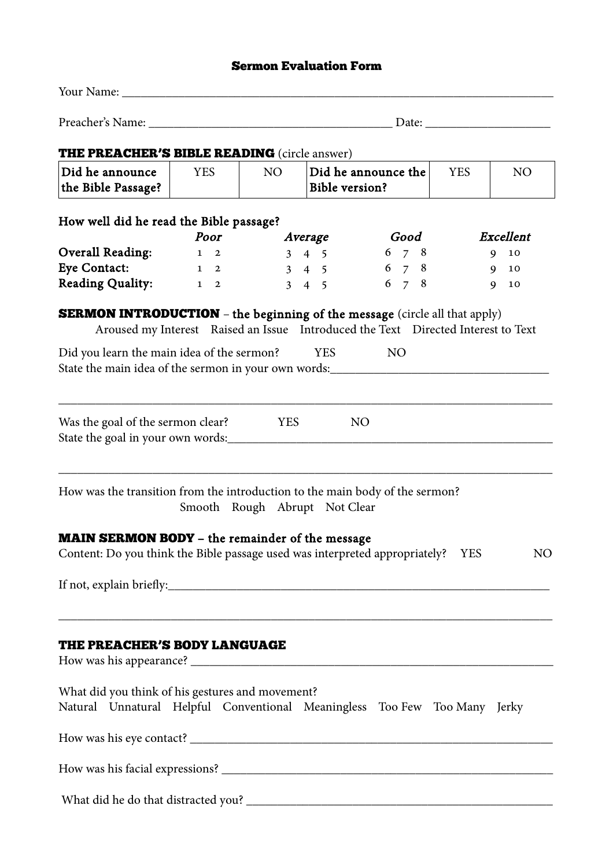## Sermon Evaluation Form

| <b>THE PREACHER'S BIBLE READING</b> (circle answer)                                                                                                                                                                      |            |                               |                       |                                                                                                     |            |                |  |  |  |  |
|--------------------------------------------------------------------------------------------------------------------------------------------------------------------------------------------------------------------------|------------|-------------------------------|-----------------------|-----------------------------------------------------------------------------------------------------|------------|----------------|--|--|--|--|
| Did he announce<br>the Bible Passage?                                                                                                                                                                                    | <b>YES</b> | NO <sub>1</sub>               | <b>Bible version?</b> | Did he announce the                                                                                 | <b>YES</b> | NO             |  |  |  |  |
| How well did he read the Bible passage?                                                                                                                                                                                  | Poor       | Average                       |                       | Good                                                                                                |            | Excellent      |  |  |  |  |
| Overall Reading:                                                                                                                                                                                                         | $1\quad 2$ |                               | $3\quad 4\quad 5$     | $6\quad 7\quad 8$                                                                                   |            | 9 10           |  |  |  |  |
| <b>Eye Contact:</b>                                                                                                                                                                                                      |            |                               |                       | $1 \t2 \t3 \t4 \t5 \t6 \t7 \t8$                                                                     |            | 9 10           |  |  |  |  |
| Reading Quality: 1 2                                                                                                                                                                                                     |            | $3 \quad 4 \quad 5$           |                       | $6 \t 7 \t 8$                                                                                       |            | 9 10           |  |  |  |  |
| <b>SERMON INTRODUCTION</b> - the beginning of the message (circle all that apply)<br>Did you learn the main idea of the sermon? YES<br>State the main idea of the sermon in your own words: ____________________________ |            |                               |                       | Aroused my Interest Raised an Issue Introduced the Text Directed Interest to Text<br>N <sub>O</sub> |            |                |  |  |  |  |
| Was the goal of the sermon clear?                                                                                                                                                                                        |            | <b>YES</b>                    |                       | NO <sub>1</sub>                                                                                     |            |                |  |  |  |  |
| How was the transition from the introduction to the main body of the sermon?                                                                                                                                             |            | Smooth Rough Abrupt Not Clear |                       |                                                                                                     |            |                |  |  |  |  |
| <b>MAIN SERMON BODY</b> - the remainder of the message                                                                                                                                                                   |            |                               |                       |                                                                                                     |            |                |  |  |  |  |
| Content: Do you think the Bible passage used was interpreted appropriately? YES                                                                                                                                          |            |                               |                       |                                                                                                     |            | N <sub>O</sub> |  |  |  |  |
|                                                                                                                                                                                                                          |            |                               |                       |                                                                                                     |            |                |  |  |  |  |
| THE PREACHER'S BODY LANGUAGE                                                                                                                                                                                             |            |                               |                       |                                                                                                     |            |                |  |  |  |  |
| What did you think of his gestures and movement?<br>Natural Unnatural Helpful Conventional Meaningless Too Few Too Many Jerky                                                                                            |            |                               |                       |                                                                                                     |            |                |  |  |  |  |
|                                                                                                                                                                                                                          |            |                               |                       |                                                                                                     |            |                |  |  |  |  |
|                                                                                                                                                                                                                          |            |                               |                       |                                                                                                     |            |                |  |  |  |  |
|                                                                                                                                                                                                                          |            |                               |                       |                                                                                                     |            |                |  |  |  |  |